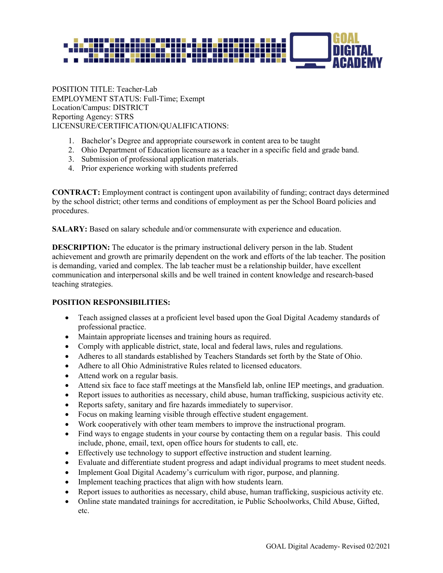

POSITION TITLE: Teacher-Lab EMPLOYMENT STATUS: Full-Time; Exempt Location/Campus: DISTRICT Reporting Agency: STRS LICENSURE/CERTIFICATION/QUALIFICATIONS:

- 1. Bachelor's Degree and appropriate coursework in content area to be taught
- 2. Ohio Department of Education licensure as a teacher in a specific field and grade band.
- 3. Submission of professional application materials.
- 4. Prior experience working with students preferred

**CONTRACT:** Employment contract is contingent upon availability of funding; contract days determined by the school district; other terms and conditions of employment as per the School Board policies and procedures.

**SALARY:** Based on salary schedule and/or commensurate with experience and education.

**DESCRIPTION:** The educator is the primary instructional delivery person in the lab. Student achievement and growth are primarily dependent on the work and efforts of the lab teacher. The position is demanding, varied and complex. The lab teacher must be a relationship builder, have excellent communication and interpersonal skills and be well trained in content knowledge and research-based teaching strategies.

#### **POSITION RESPONSIBILITIES:**

- Teach assigned classes at a proficient level based upon the Goal Digital Academy standards of professional practice.
- Maintain appropriate licenses and training hours as required.
- Comply with applicable district, state, local and federal laws, rules and regulations.
- Adheres to all standards established by Teachers Standards set forth by the State of Ohio.
- Adhere to all Ohio Administrative Rules related to licensed educators.
- Attend work on a regular basis.
- Attend six face to face staff meetings at the Mansfield lab, online IEP meetings, and graduation.
- Report issues to authorities as necessary, child abuse, human trafficking, suspicious activity etc.
- Reports safety, sanitary and fire hazards immediately to supervisor.
- Focus on making learning visible through effective student engagement.
- Work cooperatively with other team members to improve the instructional program.
- Find ways to engage students in your course by contacting them on a regular basis. This could include, phone, email, text, open office hours for students to call, etc.
- Effectively use technology to support effective instruction and student learning.
- Evaluate and differentiate student progress and adapt individual programs to meet student needs.
- Implement Goal Digital Academy's curriculum with rigor, purpose, and planning.
- Implement teaching practices that align with how students learn.
- Report issues to authorities as necessary, child abuse, human trafficking, suspicious activity etc.
- Online state mandated trainings for accreditation, ie Public Schoolworks, Child Abuse, Gifted, etc.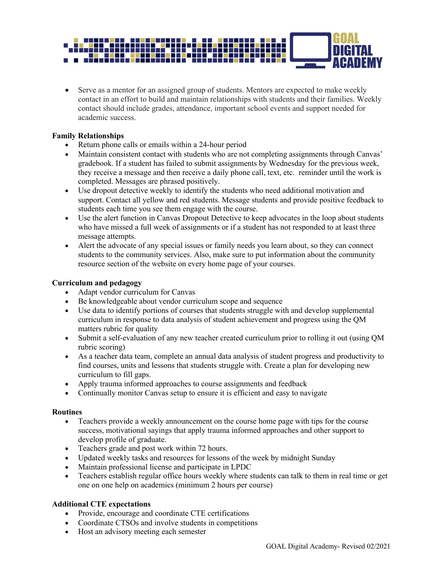

• Serve as a mentor for an assigned group of students. Mentors are expected to make weekly contact in an effort to build and maintain relationships with students and their families. Weekly contact should include grades, attendance, important school events and support needed for academic success.

#### **Family Relationships**

- Return phone calls or emails within a 24-hour period
- Maintain consistent contact with students who are not completing assignments through Canvas' gradebook. If a student has failed to submit assignments by Wednesday for the previous week, they receive a message and then receive a daily phone call, text, etc. reminder until the work is completed. Messages are phrased positively.
- Use dropout detective weekly to identify the students who need additional motivation and support. Contact all yellow and red students. Message students and provide positive feedback to students each time you see them engage with the course.
- Use the alert function in Canvas Dropout Detective to keep advocates in the loop about students who have missed a full week of assignments or if a student has not responded to at least three message attempts.
- Alert the advocate of any special issues or family needs you learn about, so they can connect students to the community services. Also, make sure to put information about the community resource section of the website on every home page of your courses.

### **Curriculum and pedagogy**

- Adapt vendor curriculum for Canvas
- Be knowledgeable about vendor curriculum scope and sequence
- Use data to identify portions of courses that students struggle with and develop supplemental curriculum in response to data analysis of student achievement and progress using the QM matters rubric for quality
- Submit a self-evaluation of any new teacher created curriculum prior to rolling it out (using QM rubric scoring)
- As a teacher data team, complete an annual data analysis of student progress and productivity to find courses, units and lessons that students struggle with. Create a plan for developing new curriculum to fill gaps.
- Apply trauma informed approaches to course assignments and feedback
- Continually monitor Canvas setup to ensure it is efficient and easy to navigate

#### **Routines**

- Teachers provide a weekly announcement on the course home page with tips for the course success, motivational sayings that apply trauma informed approaches and other support to develop profile of graduate.
- Teachers grade and post work within 72 hours.
- Updated weekly tasks and resources for lessons of the week by midnight Sunday
- Maintain professional license and participate in LPDC
- Teachers establish regular office hours weekly where students can talk to them in real time or get one on one help on academics (minimum 2 hours per course)

# **Additional CTE expectations**

- Provide, encourage and coordinate CTE certifications
- Coordinate CTSOs and involve students in competitions
- Host an advisory meeting each semester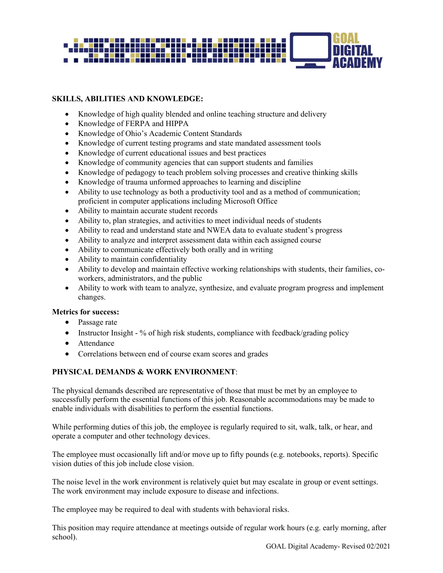

# **SKILLS, ABILITIES AND KNOWLEDGE:**

- Knowledge of high quality blended and online teaching structure and delivery
- Knowledge of FERPA and HIPPA
- Knowledge of Ohio's Academic Content Standards
- Knowledge of current testing programs and state mandated assessment tools
- Knowledge of current educational issues and best practices
- Knowledge of community agencies that can support students and families
- Knowledge of pedagogy to teach problem solving processes and creative thinking skills
- Knowledge of trauma unformed approaches to learning and discipline
- Ability to use technology as both a productivity tool and as a method of communication; proficient in computer applications including Microsoft Office
- Ability to maintain accurate student records
- Ability to, plan strategies, and activities to meet individual needs of students
- Ability to read and understand state and NWEA data to evaluate student's progress
- Ability to analyze and interpret assessment data within each assigned course
- Ability to communicate effectively both orally and in writing
- Ability to maintain confidentiality
- Ability to develop and maintain effective working relationships with students, their families, coworkers, administrators, and the public
- Ability to work with team to analyze, synthesize, and evaluate program progress and implement changes.

#### **Metrics for success:**

- Passage rate
- Instructor Insight % of high risk students, compliance with feedback/grading policy
- Attendance
- Correlations between end of course exam scores and grades

# **PHYSICAL DEMANDS & WORK ENVIRONMENT**:

The physical demands described are representative of those that must be met by an employee to successfully perform the essential functions of this job. Reasonable accommodations may be made to enable individuals with disabilities to perform the essential functions.

While performing duties of this job, the employee is regularly required to sit, walk, talk, or hear, and operate a computer and other technology devices.

The employee must occasionally lift and/or move up to fifty pounds (e.g. notebooks, reports). Specific vision duties of this job include close vision.

The noise level in the work environment is relatively quiet but may escalate in group or event settings. The work environment may include exposure to disease and infections.

The employee may be required to deal with students with behavioral risks.

This position may require attendance at meetings outside of regular work hours (e.g. early morning, after school).